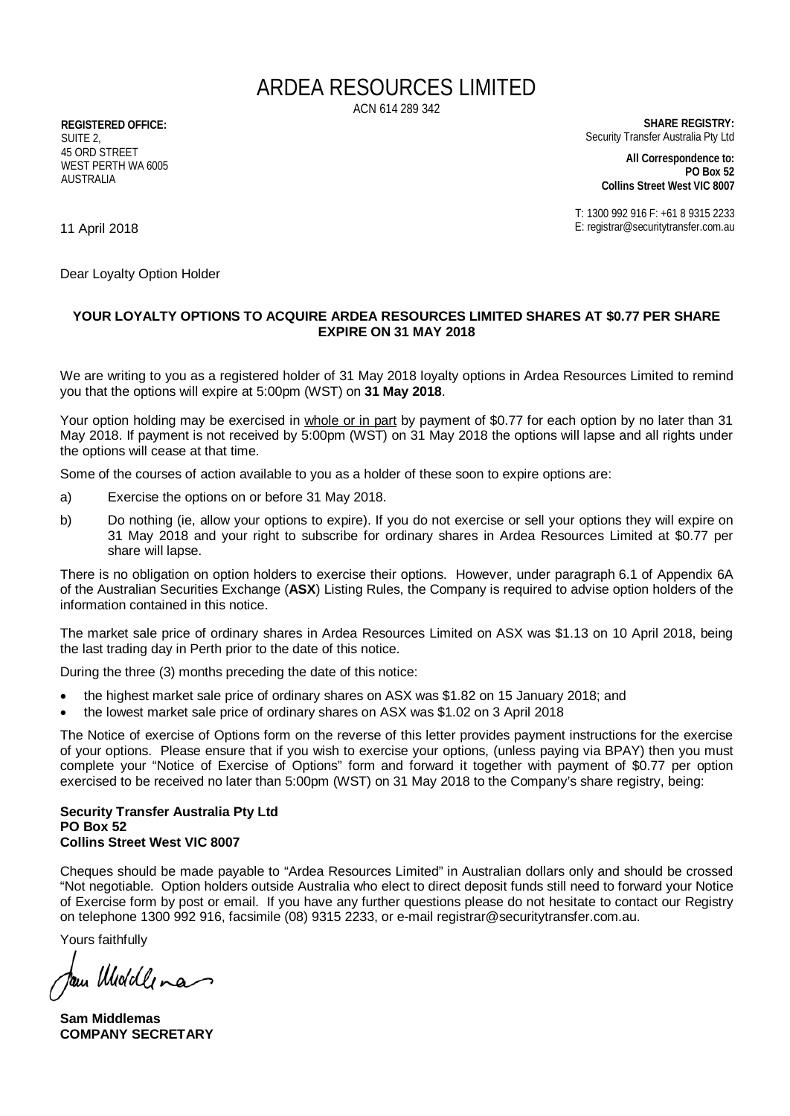## ARDEA RESOURCES LIMITED

ACN 614 289 342

**REGISTERED OFFICE:** SUITE<sub>2</sub> 45 ORD STREET WEST PERTH WA 6005 AUSTRALIA

**SHARE REGISTRY:** Security Transfer Australia Pty Ltd

**All Correspondence to: PO Box 52 Collins Street West VIC 8007**

T: 1300 992 916 F: +61 8 9315 2233 E: registrar@securitytransfer.com.au

11 April 2018

Dear Loyalty Option Holder

## **YOUR LOYALTY OPTIONS TO ACQUIRE ARDEA RESOURCES LIMITED SHARES AT \$0.77 PER SHARE EXPIRE ON 31 MAY 2018**

We are writing to you as a registered holder of 31 May 2018 loyalty options in Ardea Resources Limited to remind you that the options will expire at 5:00pm (WST) on **31 May 2018**.

Your option holding may be exercised in whole or in part by payment of \$0.77 for each option by no later than 31 May 2018. If payment is not received by 5:00pm (WST) on 31 May 2018 the options will lapse and all rights under the options will cease at that time.

Some of the courses of action available to you as a holder of these soon to expire options are:

- a) Exercise the options on or before 31 May 2018.
- b) Do nothing (ie, allow your options to expire). If you do not exercise or sell your options they will expire on 31 May 2018 and your right to subscribe for ordinary shares in Ardea Resources Limited at \$0.77 per share will lapse.

There is no obligation on option holders to exercise their options. However, under paragraph 6.1 of Appendix 6A of the Australian Securities Exchange (**ASX**) Listing Rules, the Company is required to advise option holders of the information contained in this notice.

The market sale price of ordinary shares in Ardea Resources Limited on ASX was \$1.13 on 10 April 2018, being the last trading day in Perth prior to the date of this notice.

During the three (3) months preceding the date of this notice:

- the highest market sale price of ordinary shares on ASX was \$1.82 on 15 January 2018; and
- the lowest market sale price of ordinary shares on ASX was \$1.02 on 3 April 2018

The Notice of exercise of Options form on the reverse of this letter provides payment instructions for the exercise of your options. Please ensure that if you wish to exercise your options, (unless paying via BPAY) then you must complete your "Notice of Exercise of Options" form and forward it together with payment of \$0.77 per option exercised to be received no later than 5:00pm (WST) on 31 May 2018 to the Company's share registry, being:

## **Security Transfer Australia Pty Ltd PO Box 52 Collins Street West VIC 8007**

Cheques should be made payable to "Ardea Resources Limited" in Australian dollars only and should be crossed "Not negotiable. Option holders outside Australia who elect to direct deposit funds still need to forward your Notice of Exercise form by post or email. If you have any further questions please do not hesitate to contact our Registry on telephone 1300 992 916, facsimile (08) 9315 2233, or e-mail [registrar@securitytransfer.com.au.](mailto:registrar@securitytransfer.com.au)

Yours faithfully

fam Widdlena

**Sam Middlemas COMPANY SECRETARY**